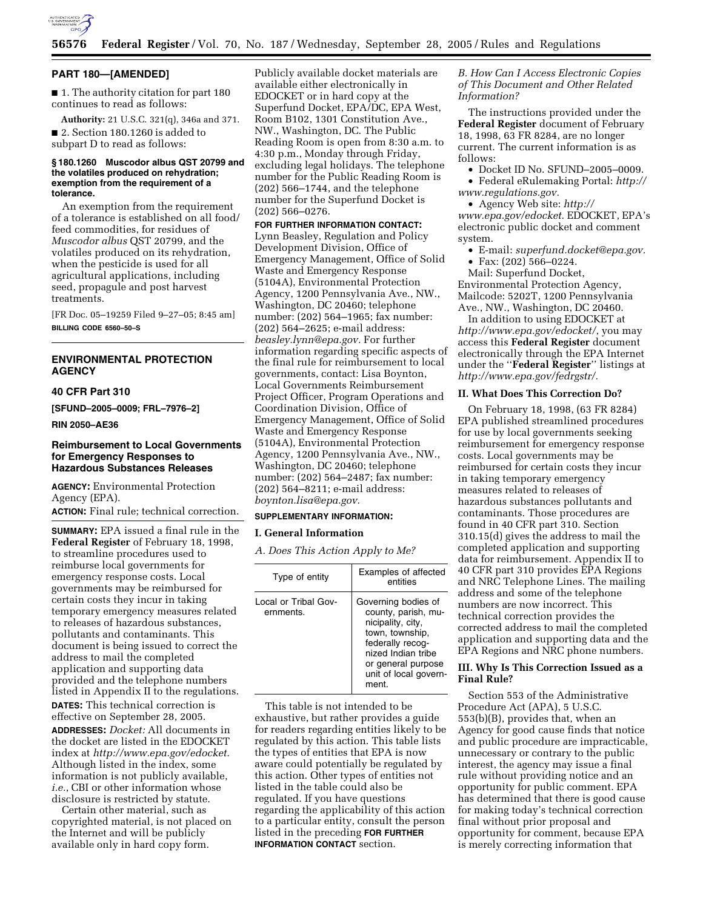

## **PART 180—[AMENDED]**

■ 1. The authority citation for part 180 continues to read as follows:

**Authority:** 21 U.S.C. 321(q), 346a and 371. ■ 2. Section 180.1260 is added to subpart D to read as follows:

### **§ 180.1260 Muscodor albus QST 20799 and the volatiles produced on rehydration; exemption from the requirement of a tolerance.**

An exemption from the requirement of a tolerance is established on all food/ feed commodities, for residues of *Muscodor albus* QST 20799, and the volatiles produced on its rehydration, when the pesticide is used for all agricultural applications, including seed, propagule and post harvest treatments.

[FR Doc. 05–19259 Filed 9–27–05; 8:45 am] **BILLING CODE 6560–50–S** 

## **ENVIRONMENTAL PROTECTION AGENCY**

## **40 CFR Part 310**

**[SFUND–2005–0009; FRL–7976–2]** 

## **RIN 2050–AE36**

## **Reimbursement to Local Governments for Emergency Responses to Hazardous Substances Releases**

**AGENCY:** Environmental Protection Agency (EPA). **ACTION:** Final rule; technical correction.

**SUMMARY:** EPA issued a final rule in the **Federal Register** of February 18, 1998, to streamline procedures used to reimburse local governments for emergency response costs. Local governments may be reimbursed for certain costs they incur in taking temporary emergency measures related to releases of hazardous substances, pollutants and contaminants. This document is being issued to correct the address to mail the completed application and supporting data provided and the telephone numbers listed in Appendix II to the regulations. **DATES:** This technical correction is effective on September 28, 2005. **ADDRESSES:** *Docket:* All documents in the docket are listed in the EDOCKET index at *http://www.epa.gov/edocket.*  Although listed in the index, some information is not publicly available, *i.e.*, CBI or other information whose disclosure is restricted by statute.

Certain other material, such as copyrighted material, is not placed on the Internet and will be publicly available only in hard copy form.

Publicly available docket materials are available either electronically in EDOCKET or in hard copy at the Superfund Docket, EPA/DC, EPA West, Room B102, 1301 Constitution Ave., NW., Washington, DC. The Public Reading Room is open from 8:30 a.m. to 4:30 p.m., Monday through Friday, excluding legal holidays. The telephone number for the Public Reading Room is (202) 566–1744, and the telephone number for the Superfund Docket is (202) 566–0276.

**FOR FURTHER INFORMATION CONTACT:**  Lynn Beasley, Regulation and Policy Development Division, Office of Emergency Management, Office of Solid Waste and Emergency Response (5104A), Environmental Protection Agency, 1200 Pennsylvania Ave., NW., Washington, DC 20460; telephone number: (202) 564–1965; fax number: (202) 564–2625; e-mail address: *beasley.lynn@epa.gov.* For further information regarding specific aspects of the final rule for reimbursement to local governments, contact: Lisa Boynton, Local Governments Reimbursement Project Officer, Program Operations and Coordination Division, Office of Emergency Management, Office of Solid Waste and Emergency Response (5104A), Environmental Protection Agency, 1200 Pennsylvania Ave., NW., Washington, DC 20460; telephone number: (202) 564–2487; fax number: (202) 564–8211; e-mail address: *boynton.lisa@epa.gov.* 

#### **SUPPLEMENTARY INFORMATION:**

## **I. General Information**

*A. Does This Action Apply to Me?* 

| Type of entity                    | Examples of affected<br>entities                                                                                                                                                    |
|-----------------------------------|-------------------------------------------------------------------------------------------------------------------------------------------------------------------------------------|
| Local or Tribal Gov-<br>ernments. | Governing bodies of<br>county, parish, mu-<br>nicipality, city,<br>town, township,<br>federally recog-<br>nized Indian tribe<br>or general purpose<br>unit of local govern-<br>ment |

This table is not intended to be exhaustive, but rather provides a guide for readers regarding entities likely to be regulated by this action. This table lists the types of entities that EPA is now aware could potentially be regulated by this action. Other types of entities not listed in the table could also be regulated. If you have questions regarding the applicability of this action to a particular entity, consult the person listed in the preceding **FOR FURTHER INFORMATION CONTACT** section.

## *B. How Can I Access Electronic Copies of This Document and Other Related Information?*

The instructions provided under the **Federal Register** document of February 18, 1998, 63 FR 8284, are no longer current. The current information is as follows:

- Docket ID No. SFUND–2005–0009.
- Federal eRulemaking Portal: *http:// www.regulations.gov.*

• Agency Web site: *http://* 

*www.epa.gov/edocket.* EDOCKET, EPA's electronic public docket and comment system.

- E-mail: *superfund.docket@epa.gov.*
- Fax: (202) 566–0224.

Mail: Superfund Docket, Environmental Protection Agency, Mailcode: 5202T, 1200 Pennsylvania Ave., NW., Washington, DC 20460.

In addition to using EDOCKET at *http://www.epa.gov/edocket/*, you may access this **Federal Register** document electronically through the EPA Internet under the ''**Federal Register**'' listings at *http://www.epa.gov/fedrgstr/.* 

### **II. What Does This Correction Do?**

On February 18, 1998, (63 FR 8284) EPA published streamlined procedures for use by local governments seeking reimbursement for emergency response costs. Local governments may be reimbursed for certain costs they incur in taking temporary emergency measures related to releases of hazardous substances pollutants and contaminants. Those procedures are found in 40 CFR part 310. Section 310.15(d) gives the address to mail the completed application and supporting data for reimbursement. Appendix II to 40 CFR part 310 provides EPA Regions and NRC Telephone Lines. The mailing address and some of the telephone numbers are now incorrect. This technical correction provides the corrected address to mail the completed application and supporting data and the EPA Regions and NRC phone numbers.

## **III. Why Is This Correction Issued as a Final Rule?**

Section 553 of the Administrative Procedure Act (APA), 5 U.S.C. 553(b)(B), provides that, when an Agency for good cause finds that notice and public procedure are impracticable, unnecessary or contrary to the public interest, the agency may issue a final rule without providing notice and an opportunity for public comment. EPA has determined that there is good cause for making today's technical correction final without prior proposal and opportunity for comment, because EPA is merely correcting information that